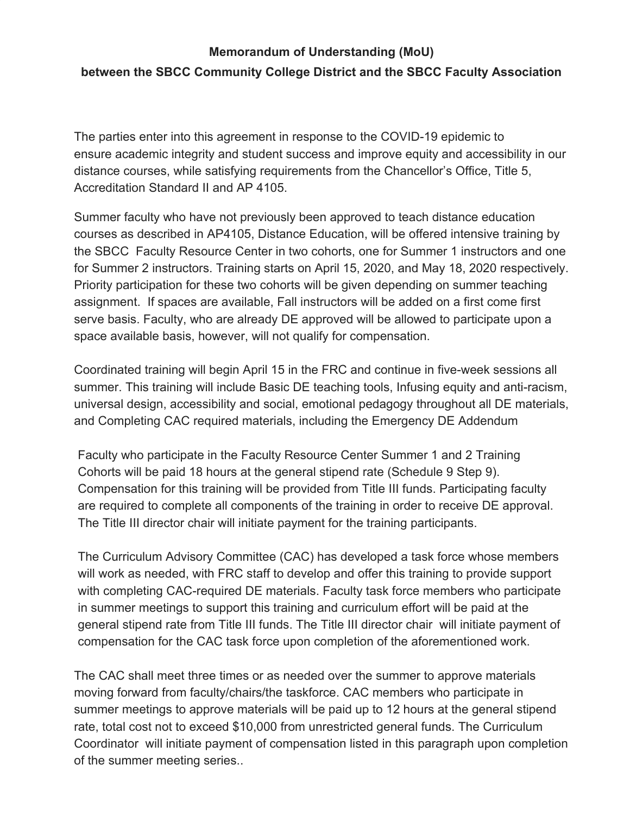## **Memorandum of Understanding (MoU)**

## **between the SBCC Community College District and the SBCC Faculty Association**

The parties enter into this agreement in response to the COVID-19 epidemic to ensure academic integrity and student success and improve equity and accessibility in our distance courses, while satisfying requirements from the Chancellor's Office, Title 5, Accreditation Standard II and AP 4105.

Summer faculty who have not previously been approved to teach distance education courses as described in AP4105, Distance Education, will be offered intensive training by the SBCC Faculty Resource Center in two cohorts, one for Summer 1 instructors and one for Summer 2 instructors. Training starts on April 15, 2020, and May 18, 2020 respectively. Priority participation for these two cohorts will be given depending on summer teaching assignment. If spaces are available, Fall instructors will be added on a first come first serve basis. Faculty, who are already DE approved will be allowed to participate upon a space available basis, however, will not qualify for compensation.

Coordinated training will begin April 15 in the FRC and continue in five-week sessions all summer. This training will include Basic DE teaching tools, Infusing equity and anti-racism, universal design, accessibility and social, emotional pedagogy throughout all DE materials, and Completing CAC required materials, including the Emergency DE Addendum

Faculty who participate in the Faculty Resource Center Summer 1 and 2 Training Cohorts will be paid 18 hours at the general stipend rate (Schedule 9 Step 9). Compensation for this training will be provided from Title III funds. Participating faculty are required to complete all components of the training in order to receive DE approval. The Title III director chair will initiate payment for the training participants.

The Curriculum Advisory Committee (CAC) has developed a task force whose members will work as needed, with FRC staff to develop and offer this training to provide support with completing CAC-required DE materials. Faculty task force members who participate in summer meetings to support this training and curriculum effort will be paid at the general stipend rate from Title III funds. The Title III director chair will initiate payment of compensation for the CAC task force upon completion of the aforementioned work.

The CAC shall meet three times or as needed over the summer to approve materials moving forward from faculty/chairs/the taskforce. CAC members who participate in summer meetings to approve materials will be paid up to 12 hours at the general stipend rate, total cost not to exceed \$10,000 from unrestricted general funds. The Curriculum Coordinator will initiate payment of compensation listed in this paragraph upon completion of the summer meeting series..